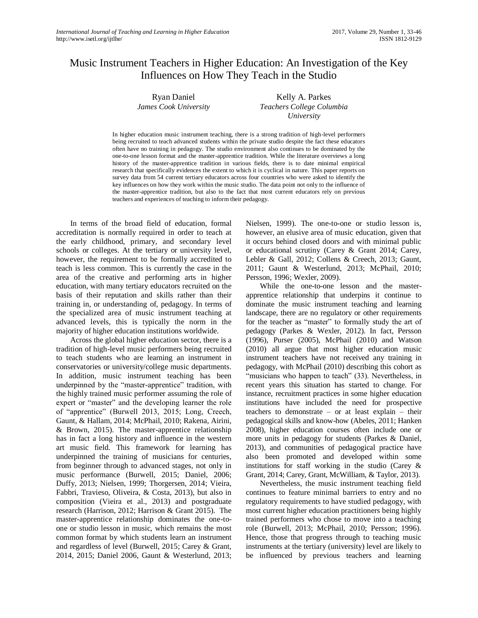# Music Instrument Teachers in Higher Education: An Investigation of the Key Influences on How They Teach in the Studio

Ryan Daniel *James Cook University*

Kelly A. Parkes *Teachers College Columbia University*

In higher education music instrument teaching, there is a strong tradition of high-level performers being recruited to teach advanced students within the private studio despite the fact these educators often have no training in pedagogy. The studio environment also continues to be dominated by the one-to-one lesson format and the master-apprentice tradition. While the literature overviews a long history of the master-apprentice tradition in various fields, there is to date minimal empirical research that specifically evidences the extent to which it is cyclical in nature. This paper reports on survey data from 54 current tertiary educators across four countries who were asked to identify the key influences on how they work within the music studio. The data point not only to the influence of the master-apprentice tradition, but also to the fact that most current educators rely on previous teachers and experiences of teaching to inform their pedagogy.

In terms of the broad field of education, formal accreditation is normally required in order to teach at the early childhood, primary, and secondary level schools or colleges. At the tertiary or university level, however, the requirement to be formally accredited to teach is less common. This is currently the case in the area of the creative and performing arts in higher education, with many tertiary educators recruited on the basis of their reputation and skills rather than their training in, or understanding of, pedagogy. In terms of the specialized area of music instrument teaching at advanced levels, this is typically the norm in the majority of higher education institutions worldwide.

Across the global higher education sector, there is a tradition of high-level music performers being recruited to teach students who are learning an instrument in conservatories or university/college music departments. In addition, music instrument teaching has been underpinned by the "master-apprentice" tradition, with the highly trained music performer assuming the role of expert or "master" and the developing learner the role of "apprentice" (Burwell 2013, 2015; Long, Creech, Gaunt, & Hallam, 2014; McPhail, 2010; Rakena, Airini, & Brown, 2015). The master-apprentice relationship has in fact a long history and influence in the western art music field. This framework for learning has underpinned the training of musicians for centuries, from beginner through to advanced stages, not only in music performance (Burwell, 2015; Daniel, 2006; Duffy, 2013; Nielsen, 1999; Thorgersen, 2014; Vieira, Fabbri, Travieso, Oliveira, & Costa, 2013), but also in composition (Vieira et al., 2013) and postgraduate research (Harrison, 2012; Harrison & Grant 2015). The master-apprentice relationship dominates the one-toone or studio lesson in music, which remains the most common format by which students learn an instrument and regardless of level (Burwell, 2015; Carey & Grant, 2014, 2015; Daniel 2006, Gaunt & Westerlund, 2013;

Nielsen, 1999). The one-to-one or studio lesson is, however, an elusive area of music education, given that it occurs behind closed doors and with minimal public or educational scrutiny (Carey & Grant 2014; Carey, Lebler & Gall, 2012; Collens & Creech, 2013; Gaunt, 2011; Gaunt & Westerlund, 2013; McPhail, 2010; Persson, 1996; Wexler, 2009).

While the one-to-one lesson and the masterapprentice relationship that underpins it continue to dominate the music instrument teaching and learning landscape, there are no regulatory or other requirements for the teacher as "master" to formally study the art of pedagogy (Parkes & Wexler, 2012). In fact, Persson (1996), Purser (2005), McPhail (2010) and Watson (2010) all argue that most higher education music instrument teachers have not received any training in pedagogy, with McPhail (2010) describing this cohort as "musicians who happen to teach" (33). Nevertheless, in recent years this situation has started to change. For instance, recruitment practices in some higher education institutions have included the need for prospective teachers to demonstrate – or at least explain – their pedagogical skills and know-how (Abeles, 2011; Hanken 2008), higher education courses often include one or more units in pedagogy for students (Parkes & Daniel, 2013), and communities of pedagogical practice have also been promoted and developed within some institutions for staff working in the studio (Carey & Grant, 2014; Carey, Grant, McWilliam, & Taylor, 2013).

Nevertheless, the music instrument teaching field continues to feature minimal barriers to entry and no regulatory requirements to have studied pedagogy, with most current higher education practitioners being highly trained performers who chose to move into a teaching role (Burwell, 2013; McPhail, 2010; Persson; 1996). Hence, those that progress through to teaching music instruments at the tertiary (university) level are likely to be influenced by previous teachers and learning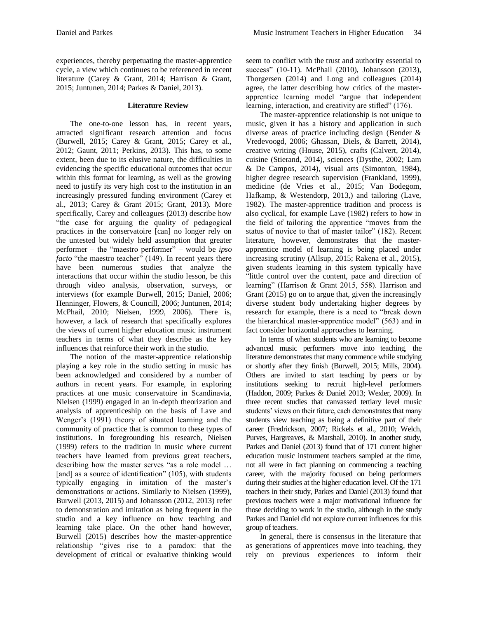experiences, thereby perpetuating the master-apprentice cycle, a view which continues to be referenced in recent literature (Carey & Grant, 2014; Harrison & Grant, 2015; Juntunen, 2014; Parkes & Daniel, 2013).

### **Literature Review**

The one-to-one lesson has, in recent years, attracted significant research attention and focus (Burwell, 2015; Carey & Grant, 2015; Carey et al., 2012; Gaunt, 2011; Perkins, 2013). This has, to some extent, been due to its elusive nature, the difficulties in evidencing the specific educational outcomes that occur within this format for learning, as well as the growing need to justify its very high cost to the institution in an increasingly pressured funding environment (Carey et al., 2013; Carey & Grant 2015; Grant, 2013). More specifically, Carey and colleagues (2013) describe how "the case for arguing the quality of pedagogical practices in the conservatoire [can] no longer rely on the untested but widely held assumption that greater performer – the "maestro performer" – would be *ipso facto* "the maestro teacher" (149). In recent years there have been numerous studies that analyze the interactions that occur within the studio lesson, be this through video analysis, observation, surveys, or interviews (for example Burwell, 2015; Daniel, 2006; Henninger, Flowers, & Councill, 2006; Juntunen, 2014; McPhail, 2010; Nielsen, 1999, 2006). There is, however, a lack of research that specifically explores the views of current higher education music instrument teachers in terms of what they describe as the key influences that reinforce their work in the studio.

The notion of the master-apprentice relationship playing a key role in the studio setting in music has been acknowledged and considered by a number of authors in recent years. For example, in exploring practices at one music conservatoire in Scandinavia, Nielsen (1999) engaged in an in-depth theorization and analysis of apprenticeship on the basis of Lave and Wenger's (1991) theory of situated learning and the community of practice that is common to these types of institutions. In foregrounding his research, Nielsen (1999) refers to the tradition in music where current teachers have learned from previous great teachers, describing how the master serves "as a role model … [and] as a source of identification" (105), with students typically engaging in imitation of the master's demonstrations or actions. Similarly to Nielsen (1999), Burwell (2013, 2015) and Johansson (2012, 2013) refer to demonstration and imitation as being frequent in the studio and a key influence on how teaching and learning take place. On the other hand however, Burwell (2015) describes how the master-apprentice relationship "gives rise to a paradox: that the development of critical or evaluative thinking would seem to conflict with the trust and authority essential to success" (10-11). McPhail (2010), Johansson (2013), Thorgersen (2014) and Long and colleagues (2014) agree, the latter describing how critics of the masterapprentice learning model "argue that independent learning, interaction, and creativity are stifled" (176).

The master-apprentice relationship is not unique to music, given it has a history and application in such diverse areas of practice including design (Bender & Vredevoogd, 2006; Ghassan, Diels, & Barrett, 2014), creative writing (House, 2015), crafts (Calvert, 2014), cuisine (Stierand, 2014), sciences (Dysthe, 2002; Lam & De Campos, 2014), visual arts (Simonton, 1984), higher degree research supervision (Frankland, 1999), medicine (de Vries et al., 2015; Van Bodegom, Hafkamp, & Westendorp, 2013,) and tailoring (Lave, 1982). The master-apprentice tradition and process is also cyclical, for example Lave (1982) refers to how in the field of tailoring the apprentice "moves from the status of novice to that of master tailor" (182). Recent literature, however, demonstrates that the masterapprentice model of learning is being placed under increasing scrutiny (Allsup, 2015; Rakena et al., 2015), given students learning in this system typically have "little control over the content, pace and direction of learning" (Harrison & Grant 2015, 558). Harrison and Grant (2015) go on to argue that, given the increasingly diverse student body undertaking higher degrees by research for example, there is a need to "break down the hierarchical master-apprentice model" (563) and in fact consider horizontal approaches to learning.

In terms of when students who are learning to become advanced music performers move into teaching, the literature demonstrates that many commence while studying or shortly after they finish (Burwell, 2015; Mills, 2004). Others are invited to start teaching by peers or by institutions seeking to recruit high-level performers (Haddon, 2009; Parkes & Daniel 2013; Wexler, 2009). In three recent studies that canvassed tertiary level music students' views on their future, each demonstrates that many students view teaching as being a definitive part of their career (Fredrickson, 2007; Rickels et al., 2010; Welch, Purves, Hargreaves, & Marshall, 2010). In another study, Parkes and Daniel (2013) found that of 171 current higher education music instrument teachers sampled at the time, not all were in fact planning on commencing a teaching career, with the majority focused on being performers during their studies at the higher education level. Of the 171 teachers in their study, Parkes and Daniel (2013) found that previous teachers were a major motivational influence for those deciding to work in the studio, although in the study Parkes and Daniel did not explore current influences for this group of teachers.

In general, there is consensus in the literature that as generations of apprentices move into teaching, they rely on previous experiences to inform their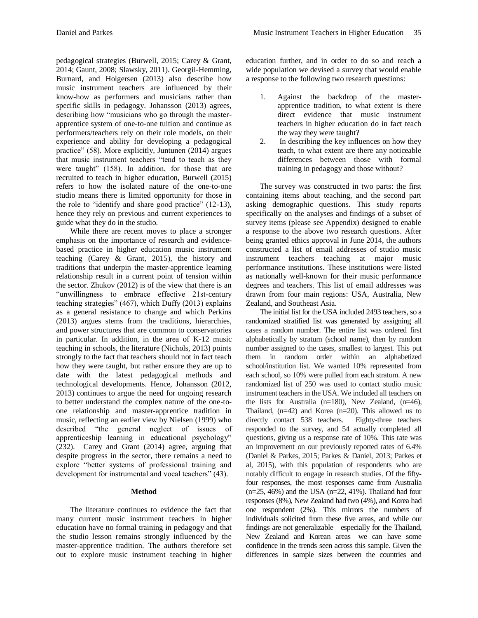pedagogical strategies (Burwell, 2015; Carey & Grant, 2014; Gaunt, 2008; Slawsky, 2011). Georgii-Hemming, Burnard, and Holgersen (2013) also describe how music instrument teachers are influenced by their know-how as performers and musicians rather than specific skills in pedagogy. Johansson (2013) agrees, describing how "musicians who go through the masterapprentice system of one-to-one tuition and continue as performers/teachers rely on their role models, on their experience and ability for developing a pedagogical practice" (58). More explicitly, Juntunen (2014) argues that music instrument teachers "tend to teach as they were taught" (158). In addition, for those that are recruited to teach in higher education, Burwell (2015) refers to how the isolated nature of the one-to-one studio means there is limited opportunity for those in the role to "identify and share good practice" (12-13), hence they rely on previous and current experiences to guide what they do in the studio.

While there are recent moves to place a stronger emphasis on the importance of research and evidencebased practice in higher education music instrument teaching (Carey & Grant, 2015), the history and traditions that underpin the master-apprentice learning relationship result in a current point of tension within the sector. Zhukov (2012) is of the view that there is an "unwillingness to embrace effective 21st-century teaching strategies" (467), which Duffy (2013) explains as a general resistance to change and which Perkins (2013) argues stems from the traditions, hierarchies, and power structures that are common to conservatories in particular. In addition, in the area of K-12 music teaching in schools, the literature (Nichols, 2013) points strongly to the fact that teachers should not in fact teach how they were taught, but rather ensure they are up to date with the latest pedagogical methods and technological developments. Hence, Johansson (2012, 2013) continues to argue the need for ongoing research to better understand the complex nature of the one-toone relationship and master-apprentice tradition in music, reflecting an earlier view by Nielsen (1999) who described "the general neglect of issues of apprenticeship learning in educational psychology" (232). Carey and Grant (2014) agree, arguing that despite progress in the sector, there remains a need to explore "better systems of professional training and development for instrumental and vocal teachers" (43).

## **Method**

The literature continues to evidence the fact that many current music instrument teachers in higher education have no formal training in pedagogy and that the studio lesson remains strongly influenced by the master-apprentice tradition. The authors therefore set out to explore music instrument teaching in higher education further, and in order to do so and reach a wide population we devised a survey that would enable a response to the following two research questions:

- 1. Against the backdrop of the masterapprentice tradition, to what extent is there direct evidence that music instrument teachers in higher education do in fact teach the way they were taught?
- 2. In describing the key influences on how they teach, to what extent are there any noticeable differences between those with formal training in pedagogy and those without?

The survey was constructed in two parts: the first containing items about teaching, and the second part asking demographic questions. This study reports specifically on the analyses and findings of a subset of survey items (please see Appendix) designed to enable a response to the above two research questions. After being granted ethics approval in June 2014, the authors constructed a list of email addresses of studio music instrument teachers teaching at major music performance institutions. These institutions were listed as nationally well-known for their music performance degrees and teachers. This list of email addresses was drawn from four main regions: USA, Australia, New Zealand, and Southeast Asia.

The initial list for the USA included 2493 teachers, so a randomized stratified list was generated by assigning all cases a random number. The entire list was ordered first alphabetically by stratum (school name), then by random number assigned to the cases, smallest to largest. This put them in random order within an alphabetized school/institution list. We wanted 10% represented from each school, so 10% were pulled from each stratum. A new randomized list of 250 was used to contact studio music instrument teachers in the USA. We included all teachers on the lists for Australia (n=180), New Zealand, (n=46), Thailand, (n=42) and Korea (n=20). This allowed us to directly contact 538 teachers. Eighty-three teachers responded to the survey, and 54 actually completed all questions, giving us a response rate of 10%. This rate was an improvement on our previously reported rates of 6.4% (Daniel & Parkes, 2015; Parkes & Daniel, 2013; Parkes et al, 2015), with this population of respondents who are notably difficult to engage in research studies. Of the fiftyfour responses, the most responses came from Australia  $(n=25, 46%)$  and the USA  $(n=22, 41%)$ . Thailand had four responses (8%), New Zealand had two (4%), and Korea had one respondent (2%). This mirrors the numbers of individuals solicited from these five areas, and while our findings are not generalizable—especially for the Thailand, New Zealand and Korean areas—we can have some confidence in the trends seen across this sample. Given the differences in sample sizes between the countries and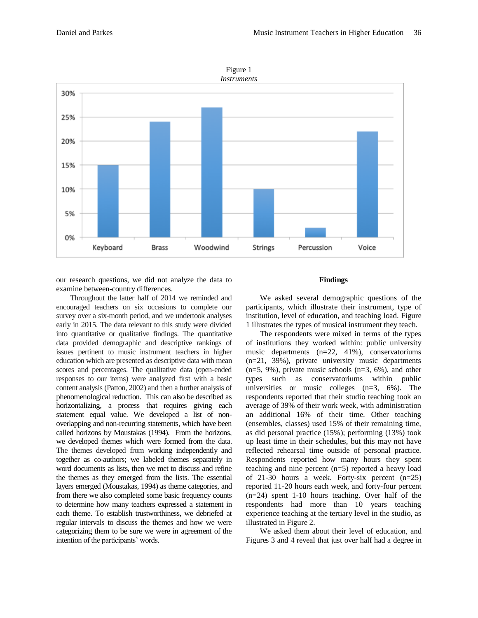

Figure 1

our research questions, we did not analyze the data to examine between-country differences.

Throughout the latter half of 2014 we reminded and encouraged teachers on six occasions to complete our survey over a six-month period, and we undertook analyses early in 2015. The data relevant to this study were divided into quantitative or qualitative findings. The quantitative data provided demographic and descriptive rankings of issues pertinent to music instrument teachers in higher education which are presented as descriptive data with mean scores and percentages. The qualitative data (open-ended responses to our items) were analyzed first with a basic content analysis (Patton, 2002) and then a further analysis of phenomenological reduction. This can also be described as horizontalizing, a process that requires giving each statement equal value. We developed a list of nonoverlapping and non-recurring statements, which have been called horizons by Moustakas (1994). From the horizons, we developed themes which were formed from the data. The themes developed from working independently and together as co-authors; we labeled themes separately in word documents as lists, then we met to discuss and refine the themes as they emerged from the lists. The essential layers emerged (Moustakas, 1994) as theme categories, and from there we also completed some basic frequency counts to determine how many teachers expressed a statement in each theme. To establish trustworthiness, we debriefed at regular intervals to discuss the themes and how we were categorizing them to be sure we were in agreement of the intention of the participants' words.

#### **Findings**

We asked several demographic questions of the participants, which illustrate their instrument, type of institution, level of education, and teaching load. Figure 1 illustrates the types of musical instrument they teach.

The respondents were mixed in terms of the types of institutions they worked within: public university music departments (n=22, 41%), conservatoriums (n=21, 39%), private university music departments (n=5, 9%), private music schools (n=3, 6%), and other types such as conservatoriums within public universities or music colleges (n=3, 6%). The respondents reported that their studio teaching took an average of 39% of their work week, with administration an additional 16% of their time. Other teaching (ensembles, classes) used 15% of their remaining time, as did personal practice (15%); performing (13%) took up least time in their schedules, but this may not have reflected rehearsal time outside of personal practice. Respondents reported how many hours they spent teaching and nine percent (n=5) reported a heavy load of 21-30 hours a week. Forty-six percent  $(n=25)$ reported 11-20 hours each week, and forty-four percent (n=24) spent 1-10 hours teaching. Over half of the respondents had more than 10 years teaching experience teaching at the tertiary level in the studio, as illustrated in Figure 2.

We asked them about their level of education, and Figures 3 and 4 reveal that just over half had a degree in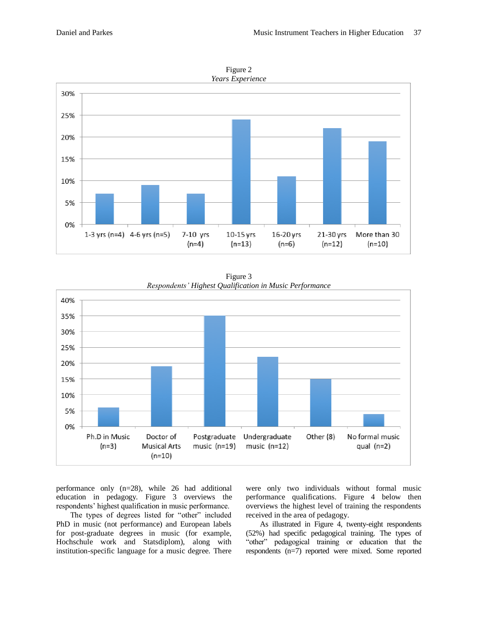

Figure 2

Figure 3 *Respondents' Highest Qualification in Music Performance*



performance only (n=28), while 26 had additional education in pedagogy. Figure 3 overviews the respondents' highest qualification in music performance.

The types of degrees listed for "other" included PhD in music (not performance) and European labels for post-graduate degrees in music (for example, Hochschule work and Statsdiplom), along with institution-specific language for a music degree. There were only two individuals without formal music performance qualifications. Figure 4 below then overviews the highest level of training the respondents received in the area of pedagogy.

As illustrated in Figure 4, twenty-eight respondents (52%) had specific pedagogical training. The types of "other" pedagogical training or education that the respondents (n=7) reported were mixed. Some reported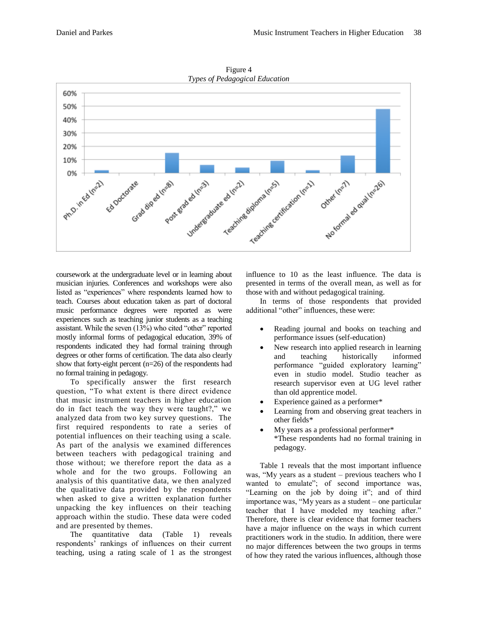

Figure 4

coursework at the undergraduate level or in learning about musician injuries. Conferences and workshops were also listed as "experiences" where respondents learned how to teach. Courses about education taken as part of doctoral music performance degrees were reported as were experiences such as teaching junior students as a teaching assistant. While the seven (13%) who cited "other" reported mostly informal forms of pedagogical education, 39% of respondents indicated they had formal training through degrees or other forms of certification. The data also clearly show that forty-eight percent (n=26) of the respondents had no formal training in pedagogy.

To specifically answer the first research question, "To what extent is there direct evidence that music instrument teachers in higher education do in fact teach the way they were taught?," we analyzed data from two key survey questions. The first required respondents to rate a series of potential influences on their teaching using a scale. As part of the analysis we examined differences between teachers with pedagogical training and those without; we therefore report the data as a whole and for the two groups. Following an analysis of this quantitative data, we then analyzed the qualitative data provided by the respondents when asked to give a written explanation further unpacking the key influences on their teaching approach within the studio. These data were coded and are presented by themes.

The quantitative data (Table 1) reveals respondents' rankings of influences on their current teaching, using a rating scale of 1 as the strongest

influence to 10 as the least influence. The data is presented in terms of the overall mean, as well as for those with and without pedagogical training.

In terms of those respondents that provided additional "other" influences, these were:

- Reading journal and books on teaching and performance issues (self-education)
- New research into applied research in learning and teaching historically informed performance "guided exploratory learning" even in studio model. Studio teacher as research supervisor even at UG level rather than old apprentice model.
- Experience gained as a performer\*
- Learning from and observing great teachers in other fields\*
- My years as a professional performer\* \*These respondents had no formal training in pedagogy.

Table 1 reveals that the most important influence was, "My years as a student – previous teachers who I wanted to emulate"; of second importance was, "Learning on the job by doing it"; and of third importance was, "My years as a student – one particular teacher that I have modeled my teaching after." Therefore, there is clear evidence that former teachers have a major influence on the ways in which current practitioners work in the studio. In addition, there were no major differences between the two groups in terms of how they rated the various influences, although those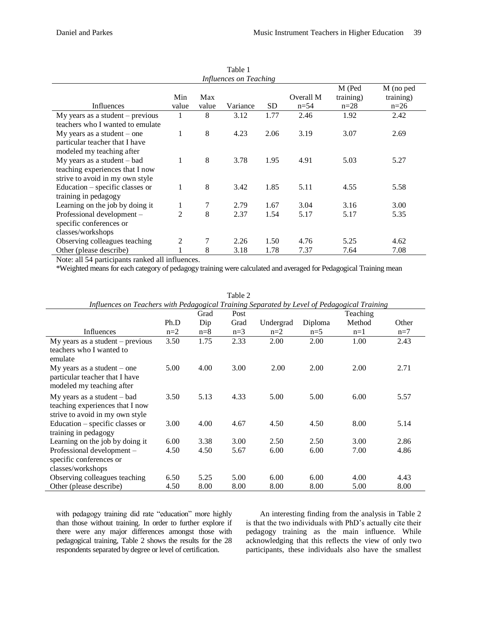| Table 1                            |                |              |          |           |                       |                               |                                  |
|------------------------------------|----------------|--------------|----------|-----------|-----------------------|-------------------------------|----------------------------------|
| Influences on Teaching             |                |              |          |           |                       |                               |                                  |
| Influences                         | Min<br>value   | Max<br>value | Variance | <b>SD</b> | Overall M<br>$n = 54$ | M (Ped<br>training)<br>$n=28$ | M (no ped<br>training)<br>$n=26$ |
| $My$ years as a student – previous |                | 8            | 3.12     | 1.77      | 2.46                  | 1.92                          | 2.42                             |
| teachers who I wanted to emulate   |                |              |          |           |                       |                               |                                  |
| $My$ years as a student – one      | 1              | 8            | 4.23     | 2.06      | 3.19                  | 3.07                          | 2.69                             |
| particular teacher that I have     |                |              |          |           |                       |                               |                                  |
| modeled my teaching after          |                |              |          |           |                       |                               |                                  |
| $My$ years as a student $-$ bad    | 1              | 8            | 3.78     | 1.95      | 4.91                  | 5.03                          | 5.27                             |
| teaching experiences that I now    |                |              |          |           |                       |                               |                                  |
| strive to avoid in my own style    |                |              |          |           |                       |                               |                                  |
| Education – specific classes or    | 1              | 8            | 3.42     | 1.85      | 5.11                  | 4.55                          | 5.58                             |
| training in pedagogy               |                |              |          |           |                       |                               |                                  |
| Learning on the job by doing it    | 1              | 7            | 2.79     | 1.67      | 3.04                  | 3.16                          | 3.00                             |
| Professional development -         | $\overline{c}$ | 8            | 2.37     | 1.54      | 5.17                  | 5.17                          | 5.35                             |
| specific conferences or            |                |              |          |           |                       |                               |                                  |
| classes/workshops                  |                |              |          |           |                       |                               |                                  |
| Observing colleagues teaching      | $\overline{c}$ |              | 2.26     | 1.50      | 4.76                  | 5.25                          | 4.62                             |
| Other (please describe)            |                | 8            | 3.18     | 1.78      | 7.37                  | 7.64                          | 7.08                             |

Note: all 54 participants ranked all influences.

\*Weighted means for each category of pedagogy training were calculated and averaged for Pedagogical Training mean

| Influences on Teachers with Pedagogical Training Separated by Level of Pedagogical Training |       |       |       |           |         |          |       |
|---------------------------------------------------------------------------------------------|-------|-------|-------|-----------|---------|----------|-------|
|                                                                                             |       | Grad  | Post  |           |         | Teaching |       |
|                                                                                             | Ph.D  | Dip   | Grad  | Undergrad | Diploma | Method   | Other |
| Influences                                                                                  | $n=2$ | $n=8$ | $n=3$ | $n=2$     | $n=5$   | $n=1$    | $n=7$ |
| My years as a student $-$ previous                                                          | 3.50  | 1.75  | 2.33  | 2.00      | 2.00    | 1.00     | 2.43  |
| teachers who I wanted to<br>emulate                                                         |       |       |       |           |         |          |       |
| $My$ years as a student – one                                                               | 5.00  | 4.00  | 3.00  | 2.00      | 2.00    | 2.00     | 2.71  |
| particular teacher that I have                                                              |       |       |       |           |         |          |       |
| modeled my teaching after                                                                   |       |       |       |           |         |          |       |
| $My$ years as a student $-$ bad                                                             | 3.50  | 5.13  | 4.33  | 5.00      | 5.00    | 6.00     | 5.57  |
| teaching experiences that I now<br>strive to avoid in my own style                          |       |       |       |           |         |          |       |
| Education - specific classes or                                                             | 3.00  | 4.00  | 4.67  | 4.50      | 4.50    | 8.00     | 5.14  |
| training in pedagogy                                                                        |       |       |       |           |         |          |       |
| Learning on the job by doing it                                                             | 6.00  | 3.38  | 3.00  | 2.50      | 2.50    | 3.00     | 2.86  |
| Professional development –                                                                  | 4.50  | 4.50  | 5.67  | 6.00      | 6.00    | 7.00     | 4.86  |
| specific conferences or                                                                     |       |       |       |           |         |          |       |
| classes/workshops                                                                           |       |       |       |           |         |          |       |
| Observing colleagues teaching                                                               | 6.50  | 5.25  | 5.00  | 6.00      | 6.00    | 4.00     | 4.43  |
| Other (please describe)                                                                     | 4.50  | 8.00  | 8.00  | 8.00      | 8.00    | 5.00     | 8.00  |

| Table 2                                                                                     |  |
|---------------------------------------------------------------------------------------------|--|
| Influences on Teachers with Pedagogical Training Separated by Level of Pedagogical Training |  |

with pedagogy training did rate "education" more highly than those without training. In order to further explore if there were any major differences amongst those with pedagogical training, Table 2 shows the results for the 28 respondents separated by degree or level of certification.

An interesting finding from the analysis in Table 2 is that the two individuals with PhD's actually cite their pedagogy training as the main influence. While acknowledging that this reflects the view of only two participants, these individuals also have the smallest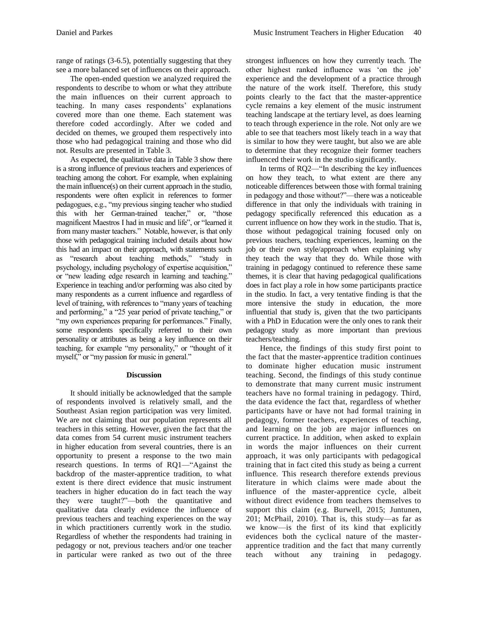range of ratings (3-6.5), potentially suggesting that they see a more balanced set of influences on their approach.

The open-ended question we analyzed required the respondents to describe to whom or what they attribute the main influences on their current approach to teaching. In many cases respondents' explanations covered more than one theme. Each statement was therefore coded accordingly. After we coded and decided on themes, we grouped them respectively into those who had pedagogical training and those who did not. Results are presented in Table 3.

As expected, the qualitative data in Table 3 show there is a strong influence of previous teachers and experiences of teaching among the cohort. For example, when explaining the main influence(s) on their current approach in the studio, respondents were often explicit in references to former pedagogues, e.g., "my previous singing teacher who studied this with her German-trained teacher," or, "those magnificent Maestros I had in music and life", or "learned it from many master teachers." Notable, however, is that only those with pedagogical training included details about how this had an impact on their approach, with statements such as "research about teaching methods," "study in psychology, including psychology of expertise acquisition," or "new leading edge research in learning and teaching." Experience in teaching and/or performing was also cited by many respondents as a current influence and regardless of level of training, with references to "many years of teaching and performing," a "25 year period of private teaching," or "my own experiences preparing for performances." Finally, some respondents specifically referred to their own personality or attributes as being a key influence on their teaching, for example "my personality," or "thought of it myself," or "my passion for music in general."

## **Discussion**

It should initially be acknowledged that the sample of respondents involved is relatively small, and the Southeast Asian region participation was very limited. We are not claiming that our population represents all teachers in this setting. However, given the fact that the data comes from 54 current music instrument teachers in higher education from several countries, there is an opportunity to present a response to the two main research questions. In terms of RQ1—"Against the backdrop of the master-apprentice tradition, to what extent is there direct evidence that music instrument teachers in higher education do in fact teach the way they were taught?"—both the quantitative and qualitative data clearly evidence the influence of previous teachers and teaching experiences on the way in which practitioners currently work in the studio. Regardless of whether the respondents had training in pedagogy or not, previous teachers and/or one teacher in particular were ranked as two out of the three

strongest influences on how they currently teach. The other highest ranked influence was 'on the job' experience and the development of a practice through the nature of the work itself. Therefore, this study points clearly to the fact that the master-apprentice cycle remains a key element of the music instrument teaching landscape at the tertiary level, as does learning to teach through experience in the role. Not only are we able to see that teachers most likely teach in a way that is similar to how they were taught, but also we are able to determine that they recognize their former teachers influenced their work in the studio significantly.

In terms of RQ2—"In describing the key influences on how they teach, to what extent are there any noticeable differences between those with formal training in pedagogy and those without?"—there was a noticeable difference in that only the individuals with training in pedagogy specifically referenced this education as a current influence on how they work in the studio. That is, those without pedagogical training focused only on previous teachers, teaching experiences, learning on the job or their own style/approach when explaining why they teach the way that they do. While those with training in pedagogy continued to reference these same themes, it is clear that having pedagogical qualifications does in fact play a role in how some participants practice in the studio. In fact, a very tentative finding is that the more intensive the study in education, the more influential that study is, given that the two participants with a PhD in Education were the only ones to rank their pedagogy study as more important than previous teachers/teaching.

Hence, the findings of this study first point to the fact that the master-apprentice tradition continues to dominate higher education music instrument teaching. Second, the findings of this study continue to demonstrate that many current music instrument teachers have no formal training in pedagogy. Third, the data evidence the fact that, regardless of whether participants have or have not had formal training in pedagogy, former teachers, experiences of teaching, and learning on the job are major influences on current practice. In addition, when asked to explain in words the major influences on their current approach, it was only participants with pedagogical training that in fact cited this study as being a current influence. This research therefore extends previous literature in which claims were made about the influence of the master-apprentice cycle, albeit without direct evidence from teachers themselves to support this claim (e.g. Burwell, 2015; Juntunen, 201; McPhail, 2010). That is, this study—as far as we know—is the first of its kind that explicitly evidences both the cyclical nature of the masterapprentice tradition and the fact that many currently teach without any training in pedagogy.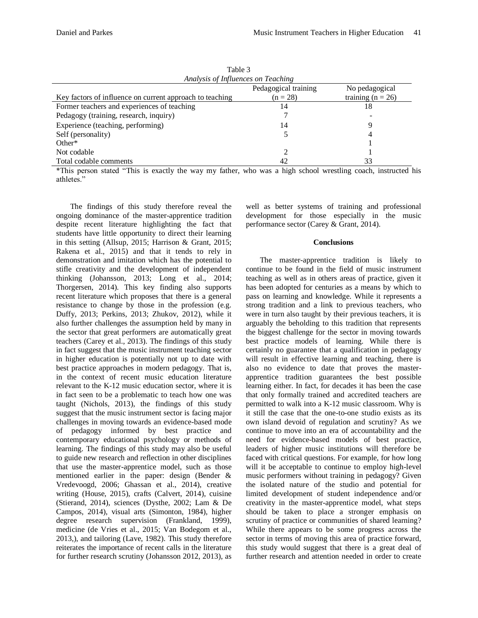| .                                                        |                      |                     |  |  |  |
|----------------------------------------------------------|----------------------|---------------------|--|--|--|
| Analysis of Influences on Teaching                       |                      |                     |  |  |  |
|                                                          | Pedagogical training | No pedagogical      |  |  |  |
| Key factors of influence on current approach to teaching | $(n = 28)$           | training $(n = 26)$ |  |  |  |
| Former teachers and experiences of teaching              | 14                   | 18                  |  |  |  |
| Pedagogy (training, research, inquiry)                   |                      |                     |  |  |  |
| Experience (teaching, performing)                        | 14                   |                     |  |  |  |
| Self (personality)                                       |                      |                     |  |  |  |
| Other $*$                                                |                      |                     |  |  |  |
| Not codable                                              |                      |                     |  |  |  |
| Total codable comments                                   | 42                   | 33                  |  |  |  |
|                                                          |                      |                     |  |  |  |

Table 3

\*This person stated "This is exactly the way my father, who was a high school wrestling coach, instructed his athletes."

The findings of this study therefore reveal the ongoing dominance of the master-apprentice tradition despite recent literature highlighting the fact that students have little opportunity to direct their learning in this setting (Allsup, 2015; Harrison & Grant, 2015; Rakena et al., 2015) and that it tends to rely in demonstration and imitation which has the potential to stifle creativity and the development of independent thinking (Johansson, 2013; Long et al., 2014; Thorgersen, 2014). This key finding also supports recent literature which proposes that there is a general resistance to change by those in the profession (e.g. Duffy, 2013; Perkins, 2013; Zhukov, 2012), while it also further challenges the assumption held by many in the sector that great performers are automatically great teachers (Carey et al., 2013). The findings of this study in fact suggest that the music instrument teaching sector in higher education is potentially not up to date with best practice approaches in modern pedagogy. That is, in the context of recent music education literature relevant to the K-12 music education sector, where it is in fact seen to be a problematic to teach how one was taught (Nichols, 2013), the findings of this study suggest that the music instrument sector is facing major challenges in moving towards an evidence-based mode of pedagogy informed by best practice and contemporary educational psychology or methods of learning. The findings of this study may also be useful to guide new research and reflection in other disciplines that use the master-apprentice model, such as those mentioned earlier in the paper: design (Bender & Vredevoogd, 2006; Ghassan et al., 2014), creative writing (House, 2015), crafts (Calvert, 2014), cuisine (Stierand, 2014), sciences (Dysthe, 2002; Lam & De Campos, 2014), visual arts (Simonton, 1984), higher degree research supervision (Frankland, 1999), medicine (de Vries et al., 2015; Van Bodegom et al., 2013,), and tailoring (Lave, 1982). This study therefore reiterates the importance of recent calls in the literature for further research scrutiny (Johansson 2012, 2013), as

well as better systems of training and professional development for those especially in the music performance sector (Carey & Grant, 2014).

#### **Conclusions**

The master-apprentice tradition is likely to continue to be found in the field of music instrument teaching as well as in others areas of practice, given it has been adopted for centuries as a means by which to pass on learning and knowledge. While it represents a strong tradition and a link to previous teachers, who were in turn also taught by their previous teachers, it is arguably the beholding to this tradition that represents the biggest challenge for the sector in moving towards best practice models of learning. While there is certainly no guarantee that a qualification in pedagogy will result in effective learning and teaching, there is also no evidence to date that proves the masterapprentice tradition guarantees the best possible learning either. In fact, for decades it has been the case that only formally trained and accredited teachers are permitted to walk into a K-12 music classroom. Why is it still the case that the one-to-one studio exists as its own island devoid of regulation and scrutiny? As we continue to move into an era of accountability and the need for evidence-based models of best practice, leaders of higher music institutions will therefore be faced with critical questions. For example, for how long will it be acceptable to continue to employ high-level music performers without training in pedagogy? Given the isolated nature of the studio and potential for limited development of student independence and/or creativity in the master-apprentice model, what steps should be taken to place a stronger emphasis on scrutiny of practice or communities of shared learning? While there appears to be some progress across the sector in terms of moving this area of practice forward, this study would suggest that there is a great deal of further research and attention needed in order to create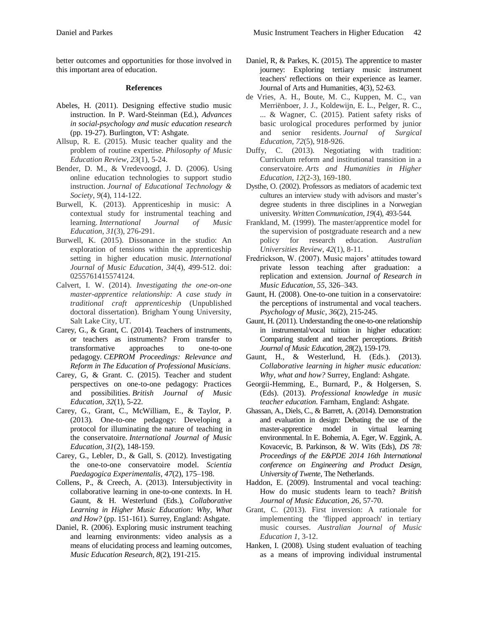better outcomes and opportunities for those involved in this important area of education.

#### **References**

- Abeles, H. (2011). Designing effective studio music instruction. In P. Ward-Steinman (Ed.), *Advances in social-psychology and music education research*  (pp. 19-27). Burlington, VT: Ashgate.
- Allsup, R. E. (2015). Music teacher quality and the problem of routine expertise. *Philosophy of Music Education Review*, *23*(1), 5-24.
- Bender, D. M., & Vredevoogd, J. D. (2006). Using online education technologies to support studio instruction. *Journal of Educational Technology & Society*, *9*(4), 114-122.
- Burwell, K. (2013). Apprenticeship in music: A contextual study for instrumental teaching and learning. *International Journal of Music Education*, *31*(3), 276-291.
- Burwell, K. (2015). Dissonance in the studio: An exploration of tensions within the apprenticeship setting in higher education music. *International Journal of Music Education*, *34*(4), 499-512. doi: 0255761415574124.
- Calvert, I. W. (2014). *Investigating the one-on-one master-apprentice relationship: A case study in traditional craft apprenticeship* (Unpublished doctoral dissertation). Brigham Young University, Salt Lake City, UT.
- Carey, G., & Grant, C. (2014). Teachers of instruments, or teachers as instruments? From transfer to transformative approaches to one-to-one pedagogy. *CEPROM Proceedings: Relevance and Reform in The Education of Professional Musicians*.
- Carey, G, & Grant. C. (2015). Teacher and student perspectives on one-to-one pedagogy: Practices and possibilities. *British Journal of Music Education, 32*(1), 5-22.
- Carey, G., Grant, C., McWilliam, E., & Taylor, P. (2013). One-to-one pedagogy: Developing a protocol for illuminating the nature of teaching in the conservatoire. *International Journal of Music Education*, *31*(2), 148-159.
- Carey, G., Lebler, D., & Gall, S. (2012). Investigating the one-to-one conservatoire model. *Scientia Paedagogica Experimentalis*, *47*(2), 175–198.
- Collens, P., & Creech, A. (2013). Intersubjectivity in collaborative learning in one-to-one contexts. In H. Gaunt, & H. Westerlund (Eds.), *Collaborative Learning in Higher Music Education: Why, What and How?* (pp. 151-161). Surrey, England: Ashgate.
- Daniel, R. (2006). Exploring music instrument teaching and learning environments: video analysis as a means of elucidating process and learning outcomes, *Music Education Research*, *8*(2), 191-215.
- Daniel, R, & Parkes, K. (2015). The apprentice to master journey: Exploring tertiary music instrument teachers' reflections on their experience as learner. Journal of Arts and Humanities, 4(3), 52-63.
- de Vries, A. H., Boute, M. C., Kuppen, M. C., van Merriënboer, J. J., Koldewijn, E. L., Pelger, R. C., ... & Wagner, C. (2015). Patient safety risks of basic urological procedures performed by junior and senior residents. *Journal of Surgical Education*, *72*(5), 918-926.
- Duffy, C. (2013). Negotiating with tradition: Curriculum reform and institutional transition in a conservatoire. *Arts and Humanities in Higher Education*, *12*(2-3), 169-180.
- Dysthe, O. (2002). Professors as mediators of academic text cultures an interview study with advisors and master's degree students in three disciplines in a Norwegian university. *Written Communication*, *19*(4), 493-544.
- Frankland, M. (1999). The master/apprentice model for the supervision of postgraduate research and a new policy for research education. *Australian Universities Review*, *42*(1), 8-11.
- Fredrickson, W. (2007). Music majors' attitudes toward private lesson teaching after graduation: a replication and extension. *Journal of Research in Music Education, 55*, 326–343.
- Gaunt, H. (2008). One-to-one tuition in a conservatoire: the perceptions of instrumental and vocal teachers. *Psychology of Music*, *36*(2), 215-245.
- Gaunt, H. (2011). Understanding the one-to-one relationship in instrumental/vocal tuition in higher education: Comparing student and teacher perceptions. *British Journal of Music Education*, *28*(2), 159-179.
- Gaunt, H., & Westerlund, H. (Eds.). (2013). *Collaborative learning in higher music education: Why, what and how?* Surrey, England: Ashgate.
- Georgii-Hemming, E., Burnard, P., & Holgersen, S. (Eds). (2013). *Professional knowledge in music teacher education.* Farnham, England: Ashgate.
- Ghassan, A., Diels, C., & Barrett, A. (2014). Demonstration and evaluation in design: Debating the use of the master-apprentice model in virtual learning environmental. In E. Bohemia, A. Eger, W. Eggink, A. Kovacevic, B. Parkinson, & W. Wits (Eds), *DS 78: Proceedings of the E&PDE 2014 16th International conference on Engineering and Product Design, University of Twente,* The Netherlands.
- Haddon, E. (2009). Instrumental and vocal teaching: How do music students learn to teach? *British Journal of Music Education*, *26*, 57-70.
- Grant, C. (2013). First inversion: A rationale for implementing the 'flipped approach' in tertiary music courses. *Australian Journal of Music Education 1,* 3-12.
- Hanken, I. (2008). Using student evaluation of teaching as a means of improving individual instrumental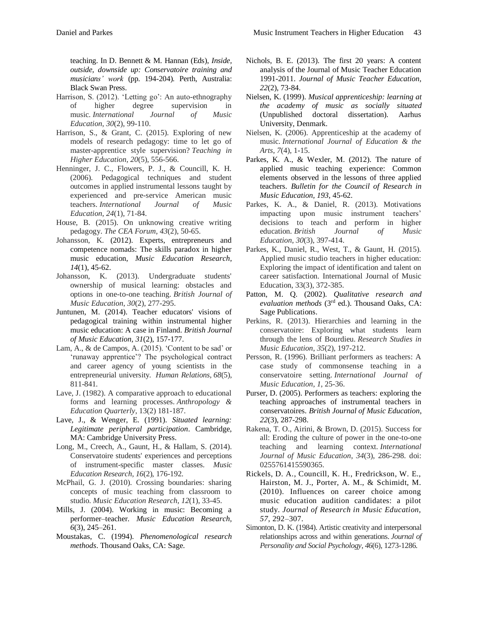- Harrison, S. (2012). 'Letting go': An auto-ethnography of higher degree supervision in music. *International Journal of Music Education*, *30*(2), 99-110.
- Harrison, S., & Grant, C. (2015). Exploring of new models of research pedagogy: time to let go of master-apprentice style supervision? *Teaching in Higher Education*, *20*(5), 556-566.
- Henninger, J. C., Flowers, P. J., & Councill, K. H. (2006). Pedagogical techniques and student outcomes in applied instrumental lessons taught by experienced and pre-service American music teachers. *International Journal of Music Education*, *24*(1), 71-84.
- House, B. (2015). On unknowing creative writing pedagogy. *The CEA Forum*, *43*(2), 50-65.
- Johansson, K. (2012). Experts, entrepreneurs and competence nomads: The skills paradox in higher music education, *Music Education Research*, *14*(1), 45-62.
- Johansson, K. (2013). Undergraduate students' ownership of musical learning: obstacles and options in one-to-one teaching. *British Journal of Music Education*, *30*(2), 277-295.
- Juntunen, M. (2014). Teacher educators' visions of pedagogical training within instrumental higher music education: A case in Finland. *British Journal of Music Education, 31*(2), 157-177.
- Lam, A., & de Campos, A. (2015). 'Content to be sad' or 'runaway apprentice'? The psychological contract and career agency of young scientists in the entrepreneurial university. *Human Relations*, *68*(5), 811-841.
- Lave, J. (1982). A comparative approach to educational forms and learning processes. *Anthropology & Education Quarterly*, 13(2) 181-187.
- Lave, J., & Wenger, E. (1991). *Situated learning: Legitimate peripheral participation*. Cambridge, MA: Cambridge University Press.
- Long, M., Creech, A., Gaunt, H., & Hallam, S. (2014). Conservatoire students' experiences and perceptions of instrument-specific master classes. *Music Education Research*, *16*(2), 176-192.
- McPhail, G. J. (2010). Crossing boundaries: sharing concepts of music teaching from classroom to studio. *Music Education Research*, *12*(1), 33-45.
- Mills, J. (2004). Working in music: Becoming a performer–teacher. *Music Education Research, 6*(3), 245–261.
- Moustakas, C. (1994). *Phenomenological research methods*. Thousand Oaks, CA: Sage.
- Nichols, B. E. (2013). The first 20 years: A content analysis of the Journal of Music Teacher Education 1991-2011. *Journal of Music Teacher Education, 22*(2), 73-84.
- Nielsen, K. (1999). *Musical apprenticeship: learning at the academy of music as socially situated* (Unpublished doctoral dissertation). Aarhus University, Denmark.
- Nielsen, K. (2006). Apprenticeship at the academy of music. *International Journal of Education & the Arts*, *7*(4), 1-15.
- Parkes, K. A., & Wexler, M. (2012). The nature of applied music teaching experience: Common elements observed in the lessons of three applied teachers. *Bulletin for the Council of Research in Music Education, 193*, 45-62.
- Parkes, K. A., & Daniel, R. (2013). Motivations impacting upon music instrument teachers' decisions to teach and perform in higher education. *British Journal of Music Education*, *30*(3), 397-414.
- Parkes, K., Daniel, R., West, T., & Gaunt, H. (2015). Applied music studio teachers in higher education: Exploring the impact of identification and talent on career satisfaction. International Journal of Music Education, 33(3), 372-385.
- Patton, M. Q. (2002). *Qualitative research and evaluation methods* (3rd ed.). Thousand Oaks, CA: Sage Publications.
- Perkins, R. (2013). Hierarchies and learning in the conservatoire: Exploring what students learn through the lens of Bourdieu. *Research Studies in Music Education*, *35*(2), 197-212.
- Persson, R. (1996). Brilliant performers as teachers: A case study of commonsense teaching in a conservatoire setting. *International Journal of Music Education*, *1*, 25-36.
- Purser, D. (2005). Performers as teachers: exploring the teaching approaches of instrumental teachers in conservatoires. *British Journal of Music Education*, *22*(3), 287-298.
- Rakena, T. O., Airini, & Brown, D. (2015). Success for all: Eroding the culture of power in the one-to-one teaching and learning context. *International Journal of Music Education*, *34*(3), 286-298. doi: 0255761415590365.
- Rickels, D. A., Councill, K. H., Fredrickson, W. E., Hairston, M. J., Porter, A. M., & Schimidt, M. (2010). Influences on career choice among music education audition candidates: a pilot study. *Journal of Research in Music Education, 57*, 292–307.
- Simonton, D. K. (1984). Artistic creativity and interpersonal relationships across and within generations. *Journal of Personality and Social Psychology*, *46*(6), 1273-1286.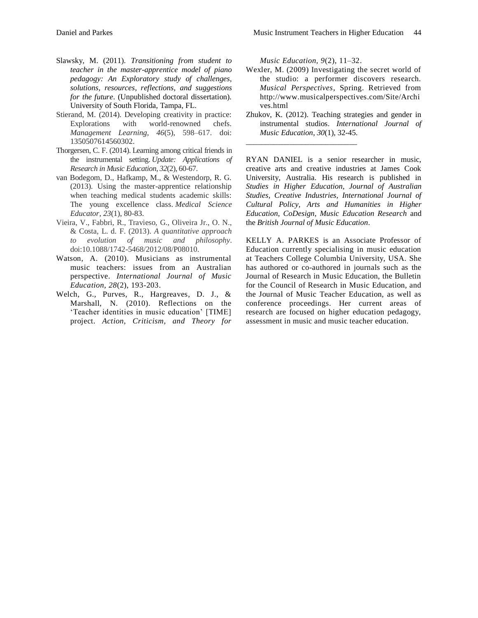- Slawsky, M. (2011). *Transitioning from student to teacher in the master-apprentice model of piano pedagogy: An Exploratory study of challenges, solutions, resources, reflections, and suggestions for the future*. (Unpublished doctoral dissertation). University of South Florida, Tampa, FL.
- Stierand, M. (2014). Developing creativity in practice: Explorations with world-renowned chefs. *Management Learning, 46*(5), 598–617. doi: 1350507614560302.
- Thorgersen, C. F. (2014). Learning among critical friends in the instrumental setting. *Update: Applications of Research in Music Education*, *32*(2), 60-67.
- van Bodegom, D., Hafkamp, M., & Westendorp, R. G. (2013). Using the master-apprentice relationship when teaching medical students academic skills: The young excellence class. *Medical Science Educator*, *23*(1), 80-83.
- Vieira, V., Fabbri, R., Travieso, G., Oliveira Jr., O. N., & Costa, L. d. F. (2013). *A quantitative approach to evolution of music and philosophy*. doi:10.1088/1742-5468/2012/08/P08010.
- Watson, A. (2010). Musicians as instrumental music teachers: issues from an Australian perspective. *International Journal of Music Education*, *28*(2), 193-203.
- Welch, G., Purves, R., Hargreaves, D. J., & Marshall, N. (2010). Reflections on the 'Teacher identities in music education' [TIME] project. *Action, Criticism, and Theory for*

*Music Education, 9*(2), 11–32.

\_\_\_\_\_\_\_\_\_\_\_\_\_\_\_\_\_\_\_\_\_\_\_\_\_\_\_\_

- Wexler, M. (2009) Investigating the secret world of the studio: a performer discovers research. *Musical Perspectives*, Spring. Retrieved from http://www.musicalperspectives.com/Site/Archi ves.html
- Zhukov, K. (2012). Teaching strategies and gender in instrumental studios. *International Journal of Music Education*, *30*(1), 32-45.

RYAN DANIEL is a senior researcher in music, creative arts and creative industries at James Cook University, Australia. His research is published in *Studies in Higher Education, Journal of Australian Studies, Creative Industries, International Journal of Cultural Policy, Arts and Humanities in Higher Education*, *CoDesign*, *Music Education Research* and the *British Journal of Music Education*.

KELLY A. PARKES is an Associate Professor of Education currently specialising in music education at Teachers College Columbia University, USA. She has authored or co-authored in journals such as the Journal of Research in Music Education, the Bulletin for the Council of Research in Music Education, and the Journal of Music Teacher Education, as well as conference proceedings. Her current areas of research are focused on higher education pedagogy, assessment in music and music teacher education.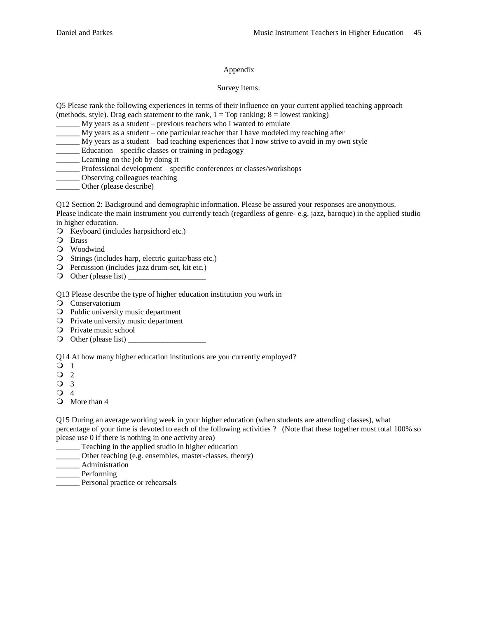## Appendix

### Survey items:

Q5 Please rank the following experiences in terms of their influence on your current applied teaching approach (methods, style). Drag each statement to the rank,  $1 = Top$  ranking;  $8 =$  lowest ranking)

 $My$  years as a student – previous teachers who I wanted to emulate

- \_\_\_\_\_\_ My years as a student one particular teacher that I have modeled my teaching after
- \_\_\_\_\_\_ My years as a student bad teaching experiences that I now strive to avoid in my own style
- \_\_\_\_\_\_ Education specific classes or training in pedagogy
- Learning on the job by doing it
- \_\_\_\_\_\_ Professional development specific conferences or classes/workshops
- **\_\_\_\_\_\_** Observing colleagues teaching
- Other (please describe)

Q12 Section 2: Background and demographic information. Please be assured your responses are anonymous. Please indicate the main instrument you currently teach (regardless of genre- e.g. jazz, baroque) in the applied studio in higher education.

- O Keyboard (includes harpsichord etc.)
- Brass
- Woodwind
- Strings (includes harp, electric guitar/bass etc.)
- Percussion (includes jazz drum-set, kit etc.)
- $\bigcirc$  Other (please list)

Q13 Please describe the type of higher education institution you work in

- Conservatorium
- Public university music department
- $\overline{Q}$  Private university music department
- Private music school
- $\bigcirc$  Other (please list)

Q14 At how many higher education institutions are you currently employed?

- **Q** 1
- $\overline{Q}$  2
- Q 3
- $\Omega$  4
- More than 4

Q15 During an average working week in your higher education (when students are attending classes), what percentage of your time is devoted to each of the following activities ? (Note that these together must total 100% so please use 0 if there is nothing in one activity area)

- Teaching in the applied studio in higher education
- Other teaching (e.g. ensembles, master-classes, theory)
- \_\_\_\_\_\_ Administration

\_\_\_\_\_\_ Performing

\_\_\_\_\_\_ Personal practice or rehearsals